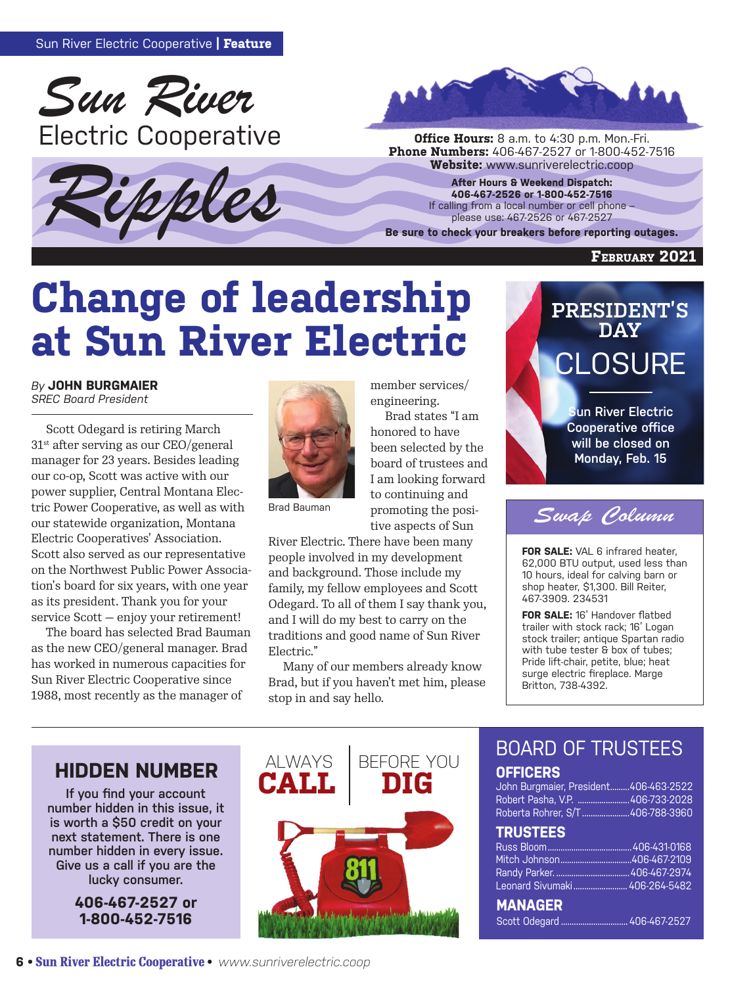





**Phone Numbers:** 406-467-2527 or 1-800-452-7516<br>**Website:** www.sunriverelectric.coop

**After Hours & Weekend Dispatch: 406-467-2526 or 1-800-452-7516** If calling from a local number or cell phone – please use: 467-2526 or 467-2527

**Be sure to check your breakers before reporting outages.**

#### **February 2021**

# **Change of leadership at Sun River Electric**

### *By* **JOHN BURGMAIER**

*SREC Board President*

Scott Odegard is retiring March 31st after serving as our CEO/general manager for 23 years. Besides leading our co-op, Scott was active with our power supplier, Central Montana Electric Power Cooperative, as well as with our statewide organization, Montana Electric Cooperatives' Association. Scott also served as our representative on the Northwest Public Power Association's board for six years, with one year as its president. Thank you for your service Scott — enjoy your retirement!

The board has selected Brad Bauman as the new CEO/general manager. Brad has worked in numerous capacities for Sun River Electric Cooperative since 1988, most recently as the manager of



Brad states "I am honored to have

member services/ engineering.

been selected by the board of trustees and I am looking forward to continuing and promoting the positive aspects of Sun

Brad Bauman

River Electric. There have been many people involved in my development and background. Those include my family, my fellow employees and Scott Odegard. To all of them I say thank you, and I will do my best to carry on the traditions and good name of Sun River Electric."

Many of our members already know Brad, but if you haven't met him, please stop in and say hello.

# **PRESIDENT'S DAY** CLOSURE **Sun River Electric**

**Cooperative office will be closed on Monday, Feb. 15**



**FOR SALE:** VAL 6 infrared heater, 62,000 BTU output, used less than 10 hours, ideal for calving barn or shop heater, \$1,300. Bill Reiter, 467-3909. 234531

**FOR SALE:** 16' Handover flatbed trailer with stock rack; 16' Logan stock trailer; antique Spartan radio with tube tester & box of tubes; Pride lift-chair, petite, blue; heat surge electric fireplace. Marge Britton, 738-4392.

## **HIDDEN NUMBER ALWAYS**

**If you find your account number hidden in this issue, it is worth a \$50 credit on your next statement. There is one number hidden in every issue. Give us a call if you are the lucky consumer.** 

> **406-467-2527 or 1-800-452-7516**



## BOARD OF TRUSTEES **OFFICERS**

John Burgmaier, President.........406-463-2522 Robert Pasha, V.P. ........................406-733-2028 Roberta Rohrer, S/T ......................406-788-3960

### **TRUSTEES**

| Leonard Sivumaki  406-264-5482 |  |
|--------------------------------|--|
| <b>MANAGER</b>                 |  |

Scott Odegard ............................... 406-467-2527